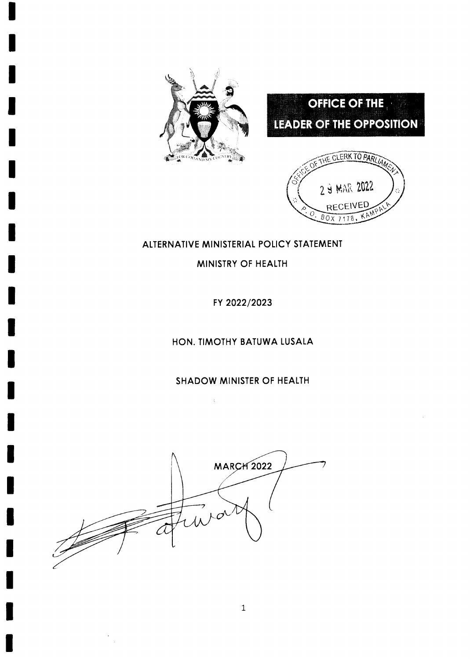





### ALTERNATIVE MINISTERIAL POLICY STATEMENT

MINISTRY OF HEALTH

FY 2022/2023

HON. TIMOTHY BATUWA LUSALA

SHADOW MINISTER OF HEALTH

 $\sim \zeta$ 

**MARCH 2022**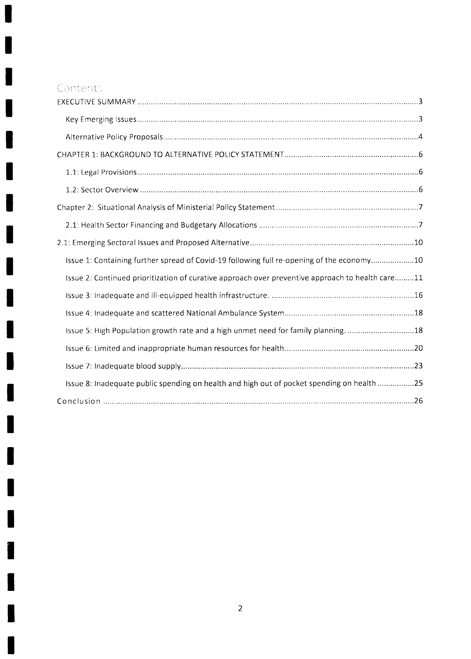# Contents

ď

I

l

H

I

I

1

i

H

 $\blacksquare$ 

I

1

 $\blacksquare$ 

I

I

I

۷

| Issue 1: Containing further spread of Covid-19 following full re-opening of the economy10        |
|--------------------------------------------------------------------------------------------------|
| Issue 2: Continued prioritization of curative approach over preventive approach to health care11 |
|                                                                                                  |
|                                                                                                  |
| Issue 5: High Population growth rate and a high unmet need for family planning18                 |
|                                                                                                  |
|                                                                                                  |
| Issue 8: Inadequate public spending on health and high out of pocket spending on health 25       |
|                                                                                                  |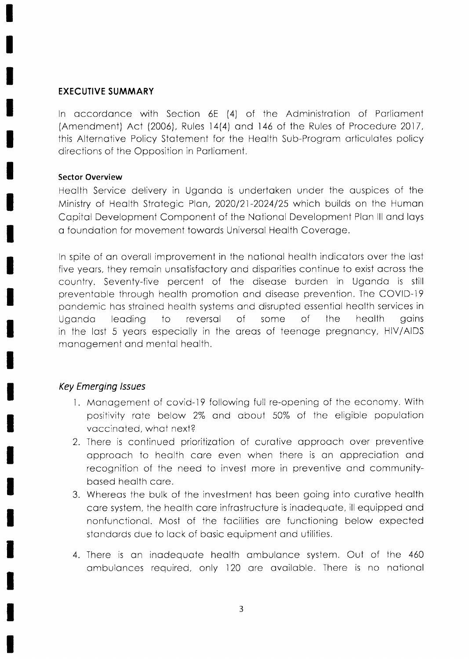### **EXECUTIVE SUMMARY**

In accordance with Section 6E (4) of the Administration of Parliament (Amendment) Act (2006), Rules 14(4) and 146 of the Rules of Procedure 2017, this Alternative Policy Statement for the Health Sub-Program articulates policy directions of the Opposition in Parliament.

### **Sector Overview**

Health Service delivery in Uganda is undertaken under the auspices of the Ministry of Health Strategic Plan, 2020/21-2024/25 which builds on the Human Capital Development Component of the National Development Plan III and lays a foundation for movement towards Universal Health Coverage.

In spite of an overall improvement in the national health indicators over the last five years, they remain unsatisfactory and disparities continue to exist across the country. Seventy-five percent of the disease burden in Uganda is still preventable through health promotion and disease prevention. The COVID-19 pandemic has strained health systems and disrupted essential health services in Uganda leadina  $\overline{10}$ reversal  $\Omega$ some  $\circ$ f the health qains in the last 5 years especially in the areas of teenage pregnancy, HIV/AIDS management and mental health.

## **Key Emerging Issues**

- 1. Management of covid-19 following full re-opening of the economy. With positivity rate below 2% and about 50% of the eligible population vaccinated, what next?
- 2. There is continued prioritization of curative approach over preventive approach to health care even when there is an appreciation and recognition of the need to invest more in preventive and communitybased health care.
- 3. Whereas the bulk of the investment has been going into curative health care system, the health care infrastructure is inadequate, ill equipped and nonfunctional. Most of the facilities are functioning below expected standards due to lack of basic equipment and utilities.
- 4. There is an inadequate health ambulance system. Out of the 460 ambulances required, only 120 are available. There is no national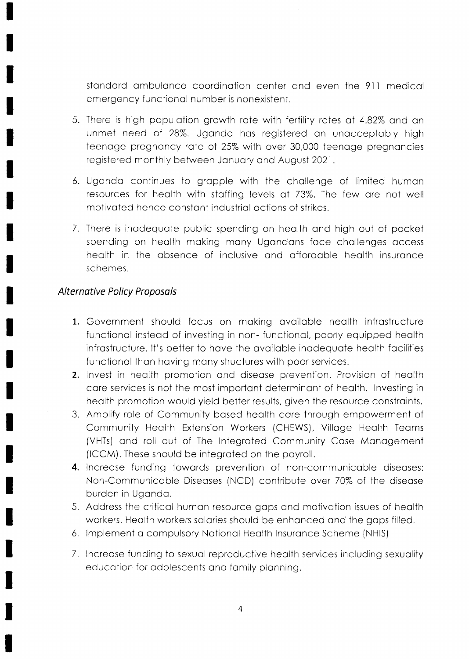standard ambulance coordination center and even the 911 medical ernergency functionol number is nonexistent.

- 5. There is high population growth rate with fertility rates at 4.82% and an unmet need of 28%. Ugondo hos registered on unocceptobly high teenage pregnancy rate of 25% with over 30,000 teenage pregnancies registered monthly between January and August 2021.
- 6. Ugondo continues to gropple with the chollenge of limited humon resources for heolth with stoffing levels at 73%. The few ore not well motivoted hence constont industriol octions of strikes.
- 7. There is inodequote public spending on heolth ond high out of pocket spending on health making many Ugandans face challenges access health in the absence of inclusive and affordable health insurance schemes.

### Alternative Policy Proposols

- 1. Government should focus on making available health infrastructure functional instead of investing in non-functional, poorly equipped health infrostructure. It's betier to hove the ovoiloble inodequote heolth focilities functional than having many structures with poor services.
- 2. Invest in health promotion and disease prevention. Provision of health core services is not the most importont determinont of heolth. Investing in heolth promotion would yield better results, given the resource constroints.
- 3. Amplify role of Community bosed heolth core through empowerment of Community Heolth Extension Workers (CHEWS), Villoge Heolth Teoms (VHTs) ond roll out of The Integroted Community Cose Monogement (ICCM). These should be integrated on the payroll.
- 4. Increase funding towards prevention of non-communicable diseases: Non-Communicoble Diseoses (NCD) contribute over 70% of the diseose burden in Ugondo.
- 5. Address the criticol humon resource gops ond motivotion issues of heolth workers. Heolth workers solories should be enhonced ond the gops filled.
- 6. lmplement o compulsory Notionol Heolth Insuronce Scheme (NHIS)
- 7. Increase funding to sexual reproductive health services including sexuality educotion for odolescents ond fomily plonning.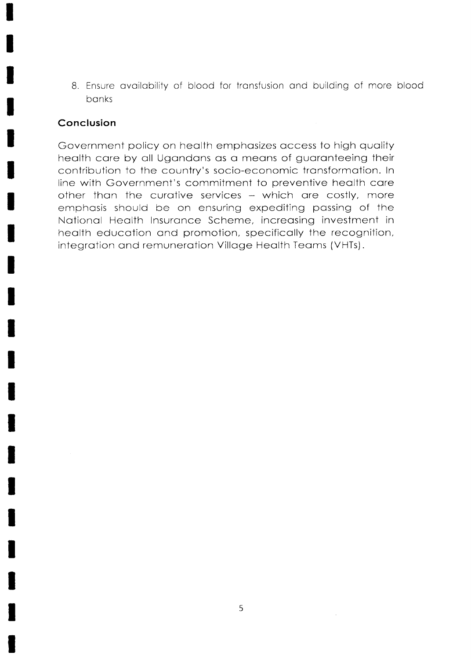8. Ensure availability of blood for transfusion and building of more blood banks

### Conclusion

Government policy on health emphasizes access to high quality health care by all Ugandans as a means of guaranteeing their contribution to the country's socio-economic transformation. In line with Government's commitment to preventive health care other than the curative services - which are costly, more emphasis should be on ensuring expediting passing of the National Health Insurance Scheme, increasing investment in health education and promotion, specifically the recognition, integration and remuneration Village Health Teams (VHTs).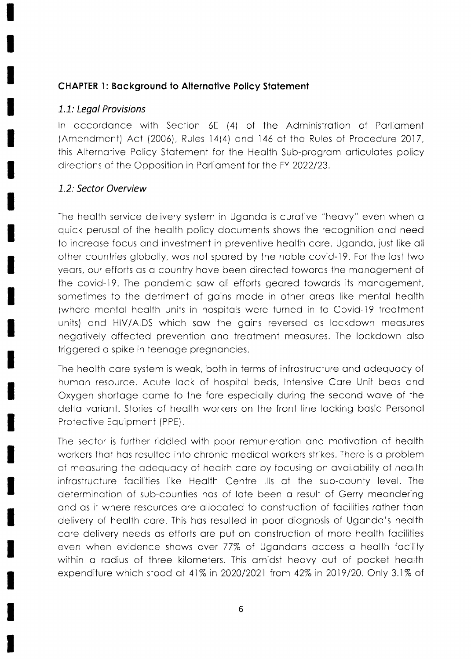## CHAPTER 1: Bockground to Alternotive Policy Stotement

## 1.7: Legol Provisions

ln occordonce with Section 6E (4) of the Administrotion of Porlioment (Amendment) Act (2006), Rules 14(4) and 146 of the Rules of Procedure 2017, this Alternotive Policy Stotement for the Heolth Sub-progrom orticulotes policy directions of the Opposition in Parliament for the FY 2022/23.

## L.2: Sector Overview

The heolth service delivery system in Ugondo is curotive "heovy" even when o quick perusol of the heolth policy documents shows the recognition ond need to increase focus and investment in preventive health care. Uganda, just like all other countries globolly, wos not spored by the noble covid-19. For the Iost iwo yeors, our efforts os c country hove been directed towords the monogement of the covid-19. The pondemic sow oll efforls geored towords its monogement, sometimes to the detriment of goins mode in other oreos like mentol heolth (where mentol heolth units in hospitols were turned in to Covid-19 treotment units) and HIV/AIDS which saw the gains reversed as lockdown measures negotively offected prevention ond treotment meosures. The lockdown olso triggered o spike in teenoge pregnoncies.

The heolth core system is weok, both in terms of infrostructure ond odequocy of humon resource. Acute lock of hospitol beds, lntensive Core Unit beds ond Oxygen shortoge come to the fore especiolly during the second wove of the delta variant. Stories of health workers on the front line lacking basic Personal Protective Equipmeni (PPE).

The sector is further riddled with poor remunerotion ond motivotion of heolth workers ihot hos resulted into chronic medicol workers strikes. Ihere is o problem of meosuring the odequocy of heolth core by focusing on ovoilobility of heolth infrastructure facilities like Health Centre IIIs at the sub-county level. The determination of sub-counties has of late been a result of Gerry meandering ond os it where resources ore ollocoted to construction of focilities rother thon delivery of heolth core. This hos resulted in poor diognosis of Ugondo's heolth core delivery needs os efforts ore put on construction of more heolth focilities even when evidence shows over 77% of Ugondons occess o heolth focility within a radius of three kilometers. This amidst heavy out of pocket health expenditure which stood at 41% in 2020/2021 from 42% in 2019/20. Only 3.1% of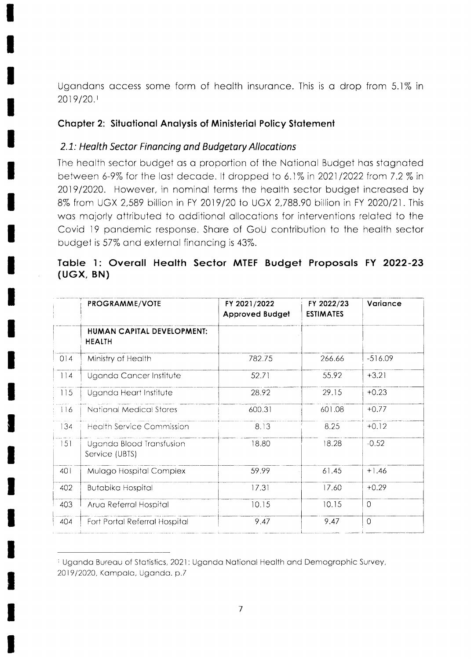Ugandans access some form of health insurance. This is a drop from 5.1% in 2019/20.1

## **Chapter 2: Situational Analysis of Ministerial Policy Statement**

## 2.1: Health Sector Financing and Budgetary Allocations

The health sector budget as a proportion of the National Budget has stagnated between 6-9% for the last decade. It dropped to 6.1% in 2021/2022 from 7.2 % in 2019/2020. However, in nominal terms the health sector budget increased by 8% from UGX 2,589 billion in FY 2019/20 to UGX 2,788.90 billion in FY 2020/21. This was majorly attributed to additional allocations for interventions related to the Covid 19 pandemic response. Share of GoU contribution to the health sector budget is 57% and external financing is 43%.

## Table 1: Overall Health Sector MTEF Budget Proposals FY 2022-23  $(UGX, BN)$

|     | PROGRAMME/VOTE                              | FY 2021/2022<br><b>Approved Budget</b> | FY 2022/23<br><b>ESTIMATES</b> | Variance       |
|-----|---------------------------------------------|----------------------------------------|--------------------------------|----------------|
|     | HUMAN CAPITAL DEVELOPMENT:<br><b>HEALTH</b> |                                        |                                |                |
| 014 | Ministry of Health                          | 782.75                                 | 266.66                         | $-516.09$      |
| 114 | Uganda Cancer Institute                     | 52.71                                  | 55.92                          | $+3.21$        |
| 115 | Uganda Heart Institute                      | 28.92                                  | 29.15                          | $+0.23$        |
| 116 | National Medical Stores                     | 600.31                                 | 601.08                         | $+0.77$        |
| 134 | <b>Health Service Commission</b>            | 8.13                                   | 8.25                           | $+0.12$        |
| 151 | Uganda Blood Transfusion<br>Service (UBTS)  | 18.80                                  | 18.28                          | $-0.52$        |
| 401 | Mulago Hospital Complex                     | 59.99                                  | 61.45                          | $+1.46$        |
| 402 | <b>Butabika Hospital</b>                    | 17.31                                  | 17.60                          | $+0.29$        |
| 403 | Arua Referral Hospital                      | 10.15                                  | 10.15                          | $\Omega$       |
| 404 | Fort Portal Referral Hospital               | 9.47                                   | 9.47                           | $\overline{O}$ |

<sup>&</sup>lt;sup>1</sup> Uganda Bureau of Statistics, 2021: Uganda National Health and Demographic Survey, 2019/2020, Kampala, Uganda. p.7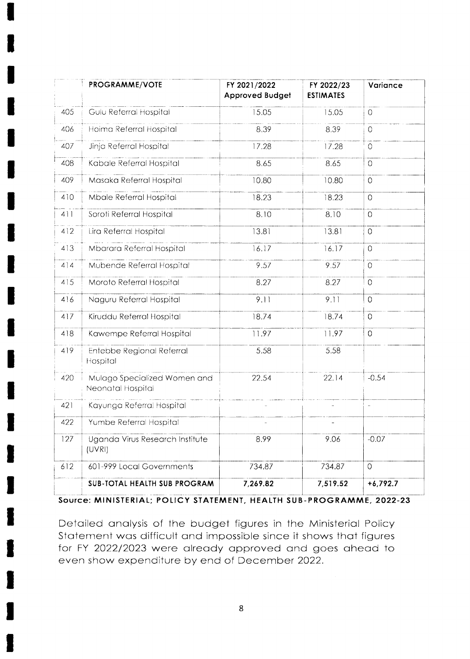|     | PROGRAMME/VOTE                                    | FY 2021/2022<br><b>Approved Budget</b> | FY 2022/23<br><b>ESTIMATES</b> | Variance       |
|-----|---------------------------------------------------|----------------------------------------|--------------------------------|----------------|
| 405 | Gulu Referral Hospital                            | 15.05                                  | 15.05                          | $\circ$        |
| 406 | Hoima Referral Hospital                           | 8.39                                   | 8.39                           | $\circ$        |
| 407 | Jinja Referral Hospital                           | 17.28                                  | 17.28                          | $\circ$        |
| 408 | Kabale Referral Hospital                          | 8.65                                   | 8.65                           | $\overline{O}$ |
| 409 | Masaka Referral Hospital                          | 10.80                                  | 10.80                          | $\overline{0}$ |
| 410 | Mbale Referral Hospital                           | 18.23                                  | 18.23                          | $\overline{O}$ |
| 411 | Soroti Referral Hospital                          | 8.10                                   | 8.10                           | $\Omega$       |
| 412 | Lira Referral Hospital                            | 13.81                                  | 13.81                          | $\overline{0}$ |
| 413 | Mbarara Referral Hospital                         | 16.17                                  | 16.17                          | $\mathbf 0$    |
| 414 | Mubende Referral Hospital                         | 9.57                                   | 9.57                           | $\overline{0}$ |
| 415 | Moroto Referral Hospital                          | 8.27                                   | 8.27                           | $\circ$        |
| 416 | Naguru Referral Hospital                          | 9.11                                   | 9.11                           | $\circ$        |
| 417 | Kiruddu Referral Hospital                         | 18.74                                  | 18.74                          | $\overline{0}$ |
| 418 | Kawempe Referral Hospital                         | 11.97                                  | 11.97                          | $\overline{0}$ |
| 419 | Entebbe Regional Referral<br>Hospital             | 5.58                                   | 5.58                           |                |
| 420 | Mulago Specialized Women and<br>Neonatal Hospital | 22.54                                  | 22.14                          | $-0.54$        |
| 421 | Kayunga Referral Hospital                         |                                        |                                | à,             |
| 422 | Yumbe Referral Hospital                           |                                        |                                |                |
| 127 | Uganda Virus Research Institute<br>(UVRI)         | 8.99                                   | 9.06                           | $-0.07$        |
| 612 | 601-999 Local Governments                         | 734.87                                 | 734.87                         | $\overline{0}$ |
|     | SUB-TOTAL HEALTH SUB PROGRAM                      | 7,269.82                               | 7,519.52                       | $+6,792.7$     |

Source: MINISTERIAL; POLICY STATEMENT, HEALTH SUB-PROGRAMME, 2022-23

Detailed analysis of the budget figures in the Ministerial Policy Statement was difficult and impossible since it shows that figures for FY 2022/2023 were already approved and goes ahead to even show expenditure by end of December 2022.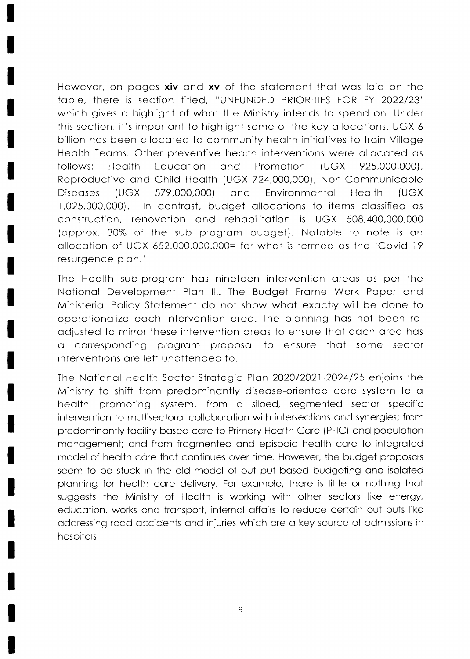However, on pages xiv and xv of the statement that was laid on the table, there is section titled, "UNFUNDED PRIORITIES FOR FY 2022/23" which gives a highlight of what the Ministry intends to spend on. Under this section, it's important to highlight some of the key allocations. UGX 6 billion has been allocated to community health initiatives to train Village Health Teams. Other preventive health interventions were allocated as follows: **Health** Education and Promotion **IUGX** 925,000,000), Reproductive and Child Health (UGX 724,000,000), Non-Communicable Diseases (UGX 579,000,000) and Environmental Health (UGX) In contrast, budget allocations to items classified as 1,025,000,000). construction, renovation and rehabilitation is UGX 508,400,000,000 (approx. 30% of the sub program budget). Notable to note is an allocation of UGX 652,000,000,000= for what is termed as the 'Covid 19 resurgence plan.'

The Health sub-program has nineteen intervention areas as per the National Development Plan III. The Budget Frame Work Paper and Ministerial Policy Statement do not show what exactly will be done to operationalize each intervention area. The planning has not been readjusted to mirror these intervention areas to ensure that each area has a corresponding program proposal to ensure that some sector interventions are left unattended to.

The National Health Sector Strategic Plan 2020/2021-2024/25 enjoins the Ministry to shift from predominantly disease-oriented care system to a health promoting system, from a siloed, segmented sector specific intervention to multisectoral collaboration with intersections and synergies; from predominantly facility-based care to Primary Health Care (PHC) and population management; and from fragmented and episodic health care to integrated model of health care that continues over time. However, the budget proposals seem to be stuck in the old model of out put based budgeting and isolated planning for health care delivery. For example, there is little or nothing that suggests the Ministry of Health is working with other sectors like energy, education, works and transport, internal affairs to reduce certain out puts like addressing road accidents and injuries which are a key source of admissions in hospitals.

9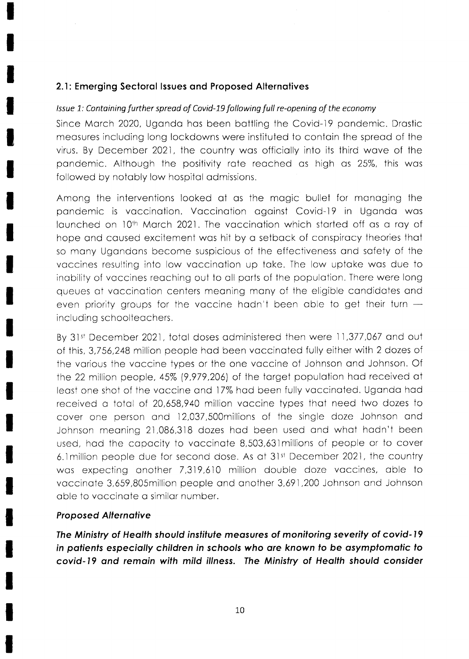## 2.1: Emerging Sectoral Issues and Proposed Alternatives

### Issue 1: Containing further spread of Covid-19 following full re-opening of the economy

Since March 2020, Uganda has been battling the Covid-19 pandemic. Drastic measures including long lockdowns were instituted to contain the spread of the virus. By December 2021, the country was officially into its third wave of the pandemic. Although the positivity rate reached as high as 25%, this was followed by notably low hospital admissions.

Among the interventions looked at as the magic bullet for managing the pandemic is vaccination. Vaccination against Covid-19 in Uganda was launched on 10th March 2021. The vaccination which started off as a ray of hope and caused excitement was hit by a setback of conspiracy theories that so many Ugandans become suspicious of the effectiveness and safety of the vaccines resulting into low vaccination up take. The low uptake was due to inability of vaccines reaching out to all parts of the population. There were long queues at vaccination centers meaning many of the eligible candidates and even priority groups for the vaccine hadn't been able to get their turn  $$ including schoolteachers.

By 31st December 2021, total doses administered then were 11,377,067 and out of this, 3,756,248 million people had been vaccinated fully either with 2 dozes of the various the vaccine types or the one vaccine of Johnson and Johnson. Of the 22 million people, 45% (9,979,206) of the target population had received at least one shot of the vaccine and 17% had been fully vaccinated. Uganda had received a total of 20,658,940 million vaccine types that need two dozes to cover one person and 12,037,500 millions of the single doze Johnson and Johnson meaning 21,086,318 dozes had been used and what hadn't been used, had the capacity to vaccinate 8,503,631 millions of people or to cover 6.1 million people due for second dose. As at 31st December 2021, the country was expecting another 7,319,610 million double doze vaccines, able to vaccinate 3,659,805million people and another 3,691,200 Johnson and Johnson able to vaccinate a similar number.

### **Proposed Alternative**

The Ministry of Health should institute measures of monitoring severity of covid-19 in patients especially children in schools who are known to be asymptomatic to covid-19 and remain with mild illness. The Ministry of Health should consider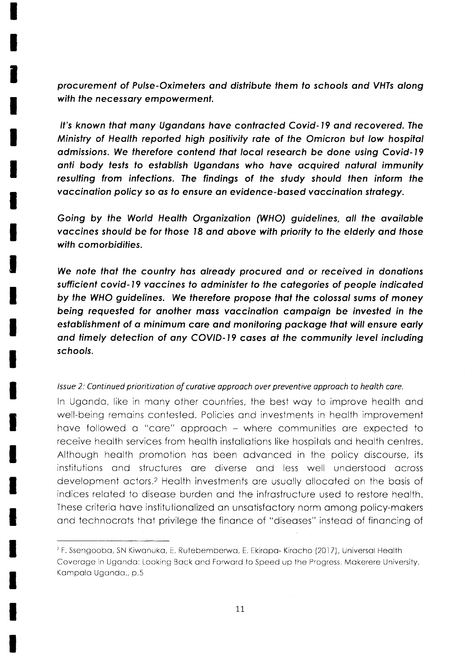procurement of Pulse-Oximeters and distribute them to schools and VHTs along with the necessary empowerment.

It's known that many Ugandans have contracted Covid-19 and recovered. The Ministry of Health reported high positivity rate of the Omicron but low hospital admissions. We therefore contend that local research be done using Covid-19 anti body tests to establish Ugandans who have acquired natural immunity resulting from infections. The findings of the study should then inform the vaccination policy so as to ensure an evidence-based vaccination strategy.

Going by the World Health Organization (WHO) guidelines, all the available vaccines should be for those 18 and above with priority to the elderly and those with comorbidities.

We note that the country has already procured and or received in donations sufficient covid-19 vaccines to administer to the categories of people indicated by the WHO guidelines. We therefore propose that the colossal sums of money being requested for another mass vaccination campaign be invested in the establishment of a minimum care and monitoring package that will ensure early and timely detection of any COVID-19 cases at the community level including schools.

#### Issue 2: Continued prioritization of curative approach over preventive approach to health care.

In Uganda, like in many other countries, the best way to improve health and well-being remains contested. Policies and investments in health improvement have followed a "care" approach - where communities are expected to receive health services from health installations like hospitals and health centres. Although health promotion has been advanced in the policy discourse, its institutions and structures are diverse and less well understood across development actors.<sup>2</sup> Health investments are usually allocated on the basis of indices related to disease burden and the infrastructure used to restore health. These criteria have institutionalized an unsatisfactory norm among policy-makers and technocrats that privilege the finance of "diseases" instead of financing of

<sup>&</sup>lt;sup>2</sup> F. Ssengooba, SN Kiwanuka, E. Rutebemberwa, E. Ekirapa- Kiracho (2017), Universal Health Coverage in Uganda: Looking Back and Forward to Speed up the Progress. Makerere University, Kampala Uganda., p.5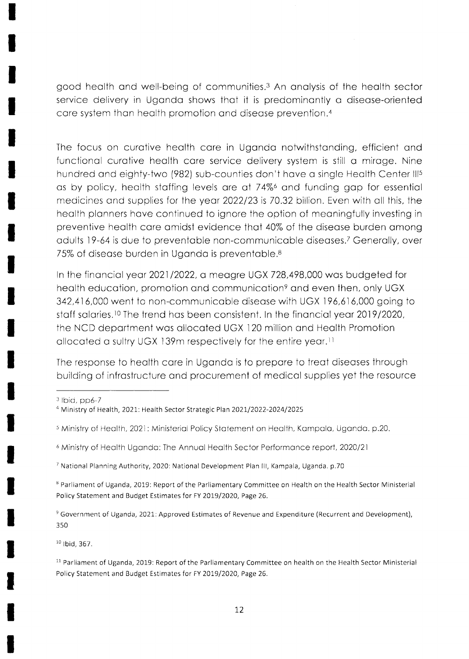good health and well-being of communities.<sup>3</sup> An analysis of the health sector service delivery in Uganda shows that it is predominantly a disease-oriented care system than health promotion and disease prevention.<sup>4</sup>

The focus on curative health care in Uganda not withstanding, efficient and functional curative health care service delivery system is still a mirage. Nine hundred and eighty-two (982) sub-counties don't have a single Health Center III<sup>5</sup> as by policy, health staffing levels are at 74% and funding gap for essential medicines and supplies for the year 2022/23 is 70.32 billion. Even with all this, the health planners have continued to ignore the option of meaningfully investing in preventive health care amidst evidence that 40% of the disease burden among adults 19-64 is due to preventable non-communicable diseases.<sup>7</sup> Generally, over 75% of disease burden in Uganda is preventable.<sup>8</sup>

In the financial year 2021/2022, a meagre UGX 728,498,000 was budgeted for health education, promotion and communication<sup>9</sup> and even then, only UGX 342,416,000 went to non-communicable disease with UGX 196,616,000 going to staff salaries.<sup>10</sup> The trend has been consistent. In the financial year 2019/2020, the NCD department was allocated UGX 120 million and Health Promotion allocated a sultry UGX 139m respectively for the entire year.<sup>11</sup>

The response to health care in Uganda is to prepare to treat diseases through building of infrastructure and procurement of medical supplies yet the resource

 $3$  Ibid, pp6-7

<sup>7</sup> National Planning Authority, 2020: National Development Plan III, Kampala, Uganda. p.70

<sup>8</sup> Parliament of Uganda, 2019: Report of the Parliamentary Committee on Health on the Health Sector Ministerial Policy Statement and Budget Estimates for FY 2019/2020, Page 26.

<sup>9</sup> Government of Uganda, 2021: Approved Estimates of Revenue and Expenditure (Recurrent and Development), 350

 $10$  Ibid. 367.

<sup>11</sup> Parliament of Uganda, 2019: Report of the Parliamentary Committee on health on the Health Sector Ministerial Policy Statement and Budget Estimates for FY 2019/2020, Page 26.

<sup>&</sup>lt;sup>4</sup> Ministry of Health, 2021: Health Sector Strategic Plan 2021/2022-2024/2025

<sup>&</sup>lt;sup>5</sup> Ministry of Health, 2021: Ministerial Policy Statement on Health, Kampala, Uganda. p.20.

<sup>&</sup>lt;sup>6</sup> Ministry of Health Uganda: The Annual Health Sector Performance report, 2020/21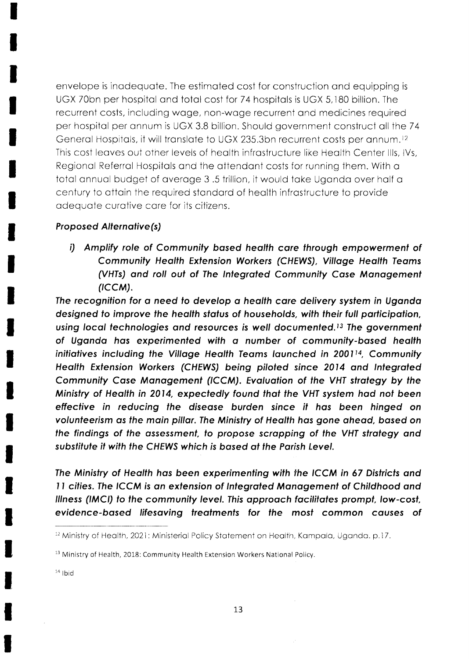envelope is inodequote. The esiimoted cost for construction ond equipping is UGX 70bn per hospital and total cost for 74 hospitals is UGX 5,180 billion. The recurrent costs, including wage, non-wage recurrent and medicines required per hospital per annum is UGX 3.8 billion. Should government construct all the 74 General Hospitals, it will translate to UGX 235.3bn recurrent costs per annum.<sup>12</sup> This cost leoves out other levels of heolth infrostructure like Heolth Center llls, lVs, Regionol Referrol Hospitols ond the ottendont costs for running them. With o totol onnuol budget of overoge 3 .5 trillion, it would toke Ugondo over holf o century to ottoin the required stondord of heolth infrostructure to provide odequote curotive core for its citizens.

### Proposed Alternative(s)

i) Amplify role of Community based health care through empowerment of Community Health Extension Workers (CHEWS), Village Health Teams (VHTs) and roll out of The Integrated Community Case Management  $(ICCM).$ 

The recognition for a need to develop a health care delivery system in Uganda designed to improve the health status of households, with their full participation, using local technologies and resources is well documented.<sup>13</sup> The government of Ugondo hos experimenfed with o number of communily-bosed heolth initiatives including the Village Health Teams launched in 2001<sup>14</sup>, Community Health Extension Workers (CHEWS) being piloted since 2014 and Integrated Community Case Management (ICCM). Evaluation of the VHT strategy by the Ministry of Health in 2014, expectedly found that the VHT system had not been effective in reducing the disease burden since it has been hinged on volunteerism as the main pillar. The Ministry of Health has gone ahead, based on the findings of the assessment, to propose scrapping of the VHT strategy and subsfifufe it with fhe CHEWS which is bosed ot the Porish level.

The Ministry of Health has been experimenting with the ICCM in 67 Districts and 11 cities. The ICCM is an extension of Integrated Management of Childhood and lllness (IMCI) to the community level. This approach facilitates prompt, low-cost, evidence-bosed lifesoving freofmenfs for fhe mosf common couses of

 $14$  lbid

<sup>&</sup>lt;sup>12</sup> Ministry of Health, 2021: Ministerial Policy Statement on Health, Kampala, Uganda. p.17.

<sup>&</sup>lt;sup>13</sup> Ministry of Health, 2018: Community Health Extension Workers National Policy.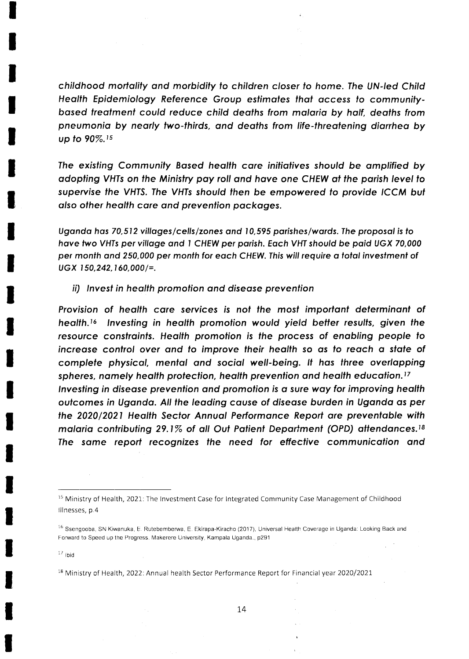childhood mortolity ond morbidily lo children closer lo home.Ihe UN-led Child Health Epidemiology Reference Group estimates that access to communitybased treatment could reduce child deaths from malaria by half, deaths from pneumonia by nearly two-thirds, and deaths from life-threatening diarrhea by up to 90%.<sup>15</sup>

The existing Community Based health care initiatives should be amplified by odopting VHTs on the Ministry poy roll ond hove one CHEW qt the porish level to supervise fhe VHIS, Ihe VHIs should fhen be empowered to provide ICCM but olso ofher heqlth core ond prevenlion pockoges.

Ugondo hos 70,512 villoges/cells/zones ond 10,595 porishes/words. fhe proposol is fo have two VHTs per village and 1 CHEW per parish. Each VHT should be paid UGX 70,000 per month and 250,000 per month for each CHEW. This will require a total investment of  $UGX$  150,242, 160,000/=.

ii) Invest in health promotion and disease prevention

Provision of health care services is not the most important determinant of health.<sup>16</sup> Investing in health promotion would yield better results, given the resource constraints. Health promotion is the process of enabling people to increase control over and to improve their health so as to reach a state of complefe physicol, mentol ond sociql well-being. lf hos three overlopping spheres, namely health protection, health prevention and health education.<sup>17</sup> Investing in disease prevention and promotion is a sure way for improving health outcomes in Uganda. All the leading cause of disease burden in Uganda as per the 2020/2021 Health Sector Annual Performance Report are preventable with malaria contributing 29.1% of all Out Patient Department (OPD) attendances.<sup>18</sup> The same report recognizes the need for effective communication and

 $17$  tbid

<sup>18</sup> Ministry of Health, 2022: Annual health Sector Performance Report for Financial year 2020/2021

 $15$  Ministry of Health, 2021: The Investment Case for Integrated Community Case Management of Childhood lllnesses, p 4

<sup>&</sup>lt;sup>16</sup> Ssengooba, SN Kiwanuka, E. Rutebemberwa, E. Ekirapa-Kiracho (2017), Universal Health Coverage in Uganda: Looking Back and Forward to Speed up the Progress. Makerere University, Kampala Uganda., p291